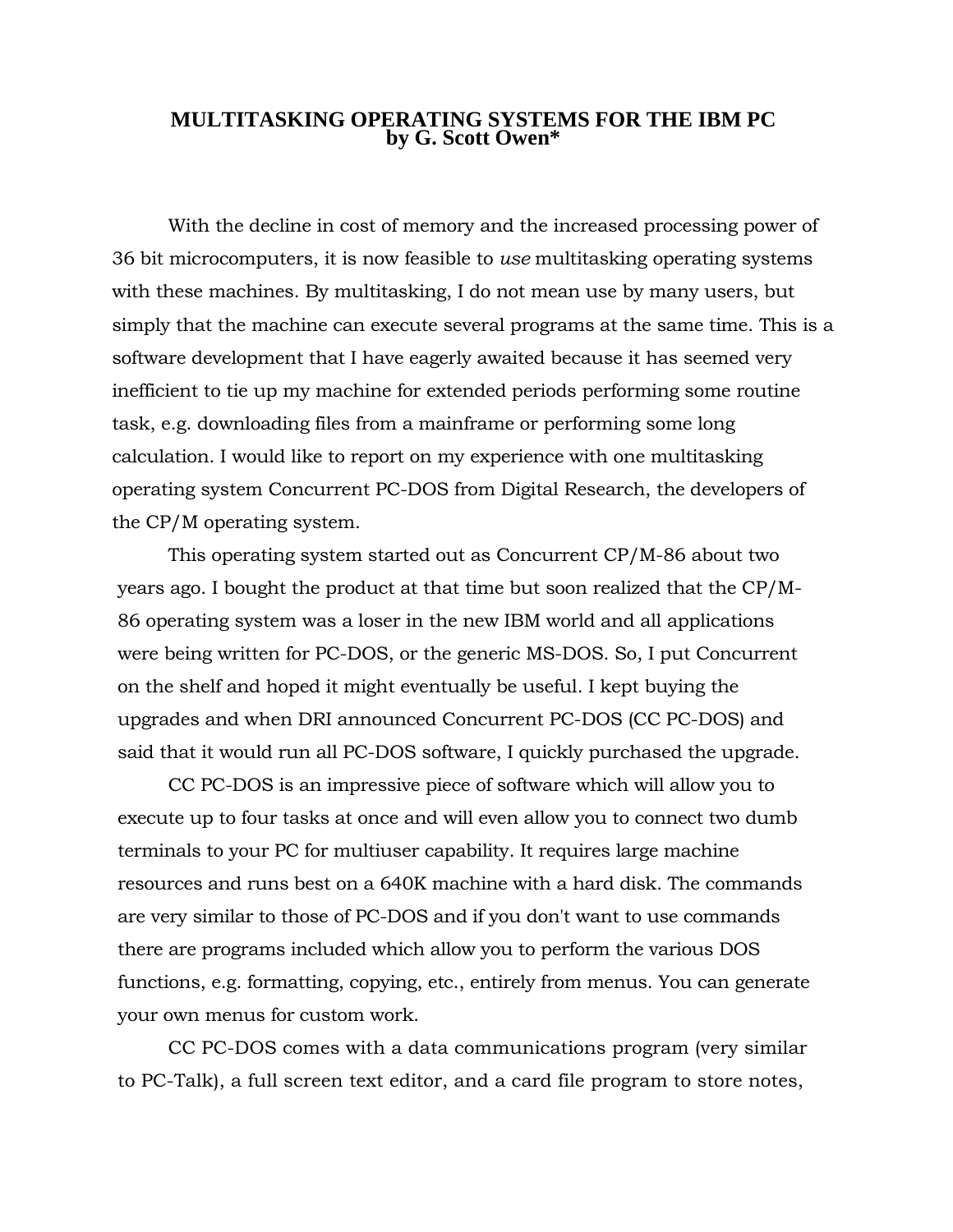## **MULTITASKING OPERATING SYSTEMS FOR THE IBM PC by G. Scott Owen\***

With the decline in cost of memory and the increased processing power of 36 bit microcomputers, it is now feasible to *use* multitasking operating systems with these machines. By multitasking, I do not mean use by many users, but simply that the machine can execute several programs at the same time. This is a software development that I have eagerly awaited because it has seemed very inefficient to tie up my machine for extended periods performing some routine task, e.g. downloading files from a mainframe or performing some long calculation. I would like to report on my experience with one multitasking operating system Concurrent PC-DOS from Digital Research, the developers of the CP/M operating system.

This operating system started out as Concurrent CP/M-86 about two years ago. I bought the product at that time but soon realized that the CP/M-86 operating system was a loser in the new IBM world and all applications were being written for PC-DOS, or the generic MS-DOS. So, I put Concurrent on the shelf and hoped it might eventually be useful. I kept buying the upgrades and when DRI announced Concurrent PC-DOS (CC PC-DOS) and said that it would run all PC-DOS software, I quickly purchased the upgrade.

CC PC-DOS is an impressive piece of software which will allow you to execute up to four tasks at once and will even allow you to connect two dumb terminals to your PC for multiuser capability. It requires large machine resources and runs best on a 640K machine with a hard disk. The commands are very similar to those of PC-DOS and if you don't want to use commands there are programs included which allow you to perform the various DOS functions, e.g. formatting, copying, etc., entirely from menus. You can generate your own menus for custom work.

CC PC-DOS comes with a data communications program (very similar to PC-Talk), a full screen text editor, and a card file program to store notes,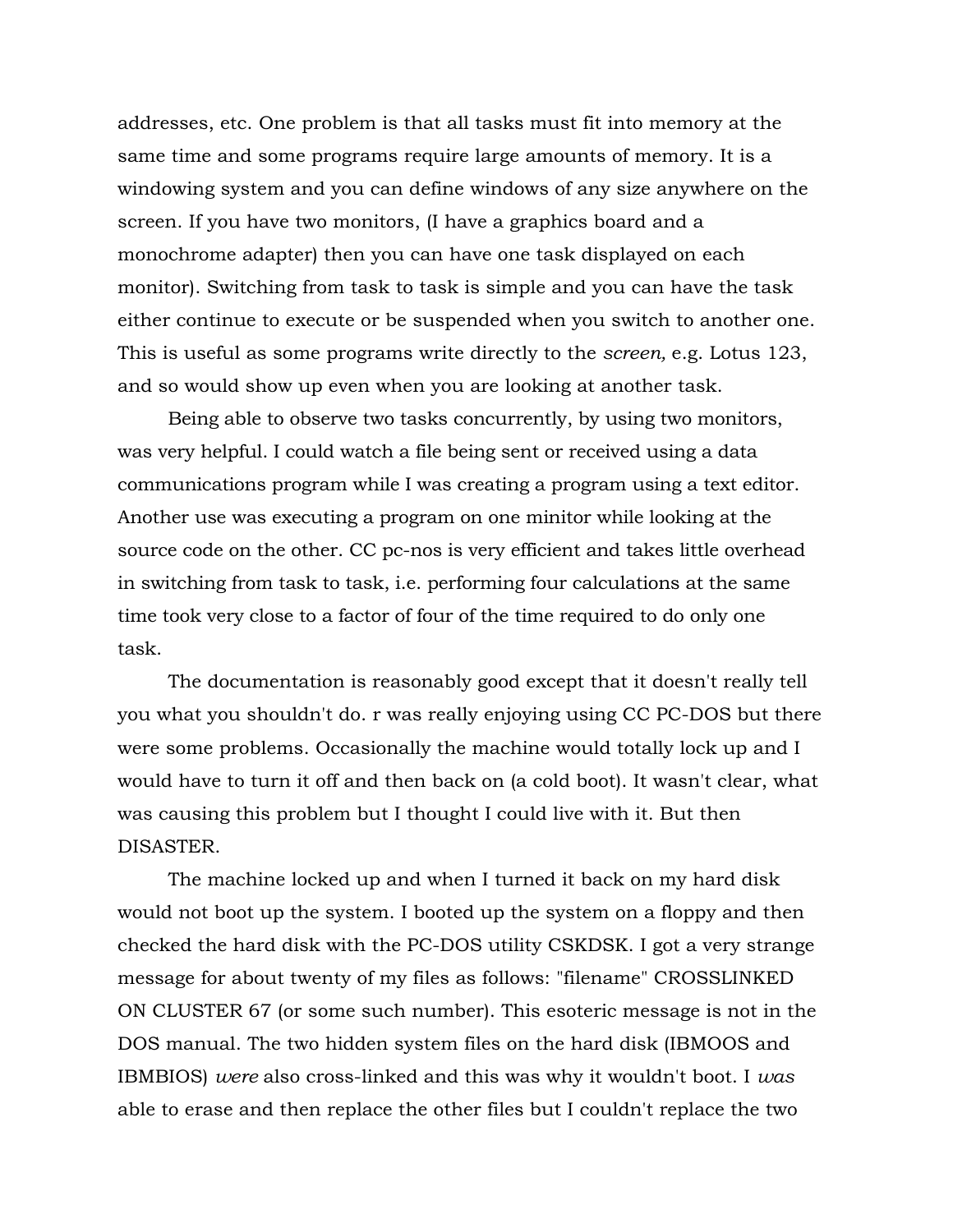addresses, etc. One problem is that all tasks must fit into memory at the same time and some programs require large amounts of memory. It is a windowing system and you can define windows of any size anywhere on the screen. If you have two monitors, (I have a graphics board and a monochrome adapter) then you can have one task displayed on each monitor). Switching from task to task is simple and you can have the task either continue to execute or be suspended when you switch to another one. This is useful as some programs write directly to the *screen,* e.g. Lotus 123, and so would show up even when you are looking at another task.

Being able to observe two tasks concurrently, by using two monitors, was very helpful. I could watch a file being sent or received using a data communications program while I was creating a program using a text editor. Another use was executing a program on one minitor while looking at the source code on the other. CC pc-nos is very efficient and takes little overhead in switching from task to task, i.e. performing four calculations at the same time took very close to a factor of four of the time required to do only one task.

The documentation is reasonably good except that it doesn't really tell you what you shouldn't do. r was really enjoying using CC PC-DOS but there were some problems. Occasionally the machine would totally lock up and I would have to turn it off and then back on (a cold boot). It wasn't clear, what was causing this problem but I thought I could live with it. But then DISASTER.

The machine locked up and when I turned it back on my hard disk would not boot up the system. I booted up the system on a floppy and then checked the hard disk with the PC-DOS utility CSKDSK. I got a very strange message for about twenty of my files as follows: "filename" CROSSLINKED ON CLUSTER 67 (or some such number). This esoteric message is not in the DOS manual. The two hidden system files on the hard disk (IBMOOS and IBMBIOS) *were* also cross-linked and this was why it wouldn't boot. I *was*  able to erase and then replace the other files but I couldn't replace the two